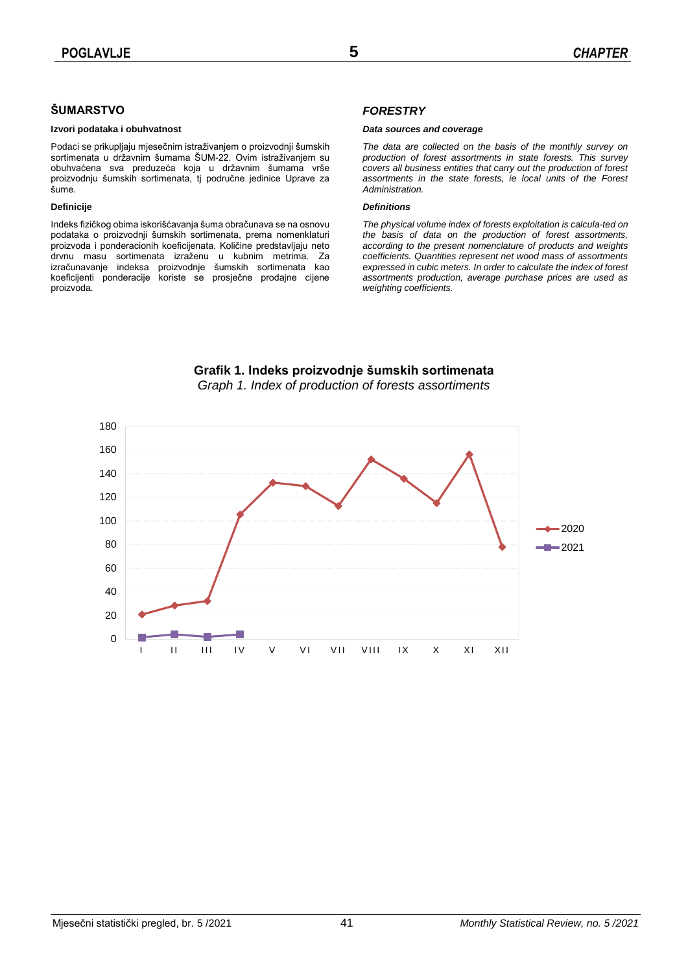## **ŠUMARSTVO**

### **Izvori podataka i obuhvatnost**

Podaci se prikupljaju mjesečnim istraživanjem o proizvodnji šumskih sortimenata u državnim šumama ŠUM-22. Ovim istraživanjem su obuhvaćena sva preduzeća koja u državnim šumama vrše proizvodnju šumskih sortimenata, tj područne jedinice Uprave za šume.

### **Definicije**

Indeks fizičkog obima iskorišćavanja šuma obračunava se na osnovu podataka o proizvodnji šumskih sortimenata, prema nomenklaturi proizvoda i ponderacionih koeficijenata. Količine predstavljaju neto drvnu masu sortimenata izraženu u kubnim metrima. Za izračunavanje indeksa proizvodnje šumskih sortimenata kao koeficijenti ponderacije koriste se prosječne prodajne cijene proizvoda.

### *FORESTRY*

### *Data sources and coverage*

*The data are collected on the basis of the monthly survey on production of forest assortments in state forests. This survey covers all business entities that carry out the production of forest assortments in the state forests, ie local units of the Forest Administration.*

### *Definitions*

*The physical volume index of forests exploitation is calcula-ted on the basis of data on the production of forest assortments, according to the present nomenclature of products and weights coefficients. Quantities represent net wood mass of assortments expressed in cubic meters. In order to calculate the index of forest assortments production, average purchase prices are used as weighting coefficients.*